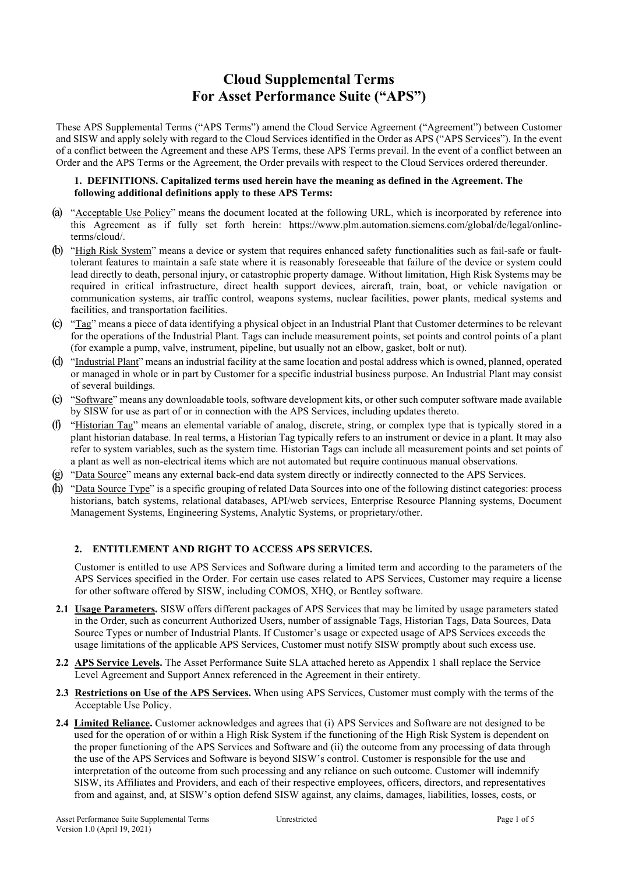# **Cloud Supplemental Terms For Asset Performance Suite ("APS")**

These APS Supplemental Terms ("APS Terms") amend the Cloud Service Agreement ("Agreement") between Customer and SISW and apply solely with regard to the Cloud Services identified in the Order as APS ("APS Services"). In the event of a conflict between the Agreement and these APS Terms, these APS Terms prevail. In the event of a conflict between an Order and the APS Terms or the Agreement, the Order prevails with respect to the Cloud Services ordered thereunder.

## **1. DEFINITIONS. Capitalized terms used herein have the meaning as defined in the Agreement. The following additional definitions apply to these APS Terms:**

- (a) "Acceptable Use Policy" means the document located at the following URL, which is incorporated by reference into this Agreement as if fully set forth herein: [https://www.plm.automation.siemens.com/global/de/legal/online](https://www.plm.automation.siemens.com/global/de/legal/online-terms/cloud/)[terms/cloud/.](https://www.plm.automation.siemens.com/global/de/legal/online-terms/cloud/)
- (b) "High Risk System" means a device or system that requires enhanced safety functionalities such as fail-safe or faulttolerant features to maintain a safe state where it is reasonably foreseeable that failure of the device or system could lead directly to death, personal injury, or catastrophic property damage. Without limitation, High Risk Systems may be required in critical infrastructure, direct health support devices, aircraft, train, boat, or vehicle navigation or communication systems, air traffic control, weapons systems, nuclear facilities, power plants, medical systems and facilities, and transportation facilities.
- (c) "Tag" means a piece of data identifying a physical object in an Industrial Plant that Customer determines to be relevant for the operations of the Industrial Plant. Tags can include measurement points, set points and control points of a plant (for example a pump, valve, instrument, pipeline, but usually not an elbow, gasket, bolt or nut).
- (d) "Industrial Plant" means an industrial facility at the same location and postal address which is owned, planned, operated or managed in whole or in part by Customer for a specific industrial business purpose. An Industrial Plant may consist of several buildings.
- (e) "Software" means any downloadable tools, software development kits, or other such computer software made available by SISW for use as part of or in connection with the APS Services, including updates thereto.
- (f) "Historian Tag" means an elemental variable of analog, discrete, string, or complex type that is typically stored in a plant historian database. In real terms, a Historian Tag typically refers to an instrument or device in a plant. It may also refer to system variables, such as the system time. Historian Tags can include all measurement points and set points of a plant as well as non-electrical items which are not automated but require continuous manual observations.
- (g) "Data Source" means any external back-end data system directly or indirectly connected to the APS Services.
- (h) "Data Source Type" is a specific grouping of related Data Sources into one of the following distinct categories: process historians, batch systems, relational databases, API/web services, Enterprise Resource Planning systems, Document Management Systems, Engineering Systems, Analytic Systems, or proprietary/other.

# **2. ENTITLEMENT AND RIGHT TO ACCESS APS SERVICES.**

Customer is entitled to use APS Services and Software during a limited term and according to the parameters of the APS Services specified in the Order. For certain use cases related to APS Services, Customer may require a license for other software offered by SISW, including COMOS, XHQ, or Bentley software.

- **2.1 Usage Parameters.** SISW offers different packages of APS Services that may be limited by usage parameters stated in the Order, such as concurrent Authorized Users, number of assignable Tags, Historian Tags, Data Sources, Data Source Types or number of Industrial Plants. If Customer's usage or expected usage of APS Services exceeds the usage limitations of the applicable APS Services, Customer must notify SISW promptly about such excess use.
- **2.2 APS Service Levels.** The Asset Performance Suite SLA attached hereto as Appendix 1 shall replace the Service Level Agreement and Support Annex referenced in the Agreement in their entirety.
- **2.3 Restrictions on Use of the APS Services.** When using APS Services, Customer must comply with the terms of the Acceptable Use Policy.
- **2.4 Limited Reliance.** Customer acknowledges and agrees that (i) APS Services and Software are not designed to be used for the operation of or within a High Risk System if the functioning of the High Risk System is dependent on the proper functioning of the APS Services and Software and (ii) the outcome from any processing of data through the use of the APS Services and Software is beyond SISW's control. Customer is responsible for the use and interpretation of the outcome from such processing and any reliance on such outcome. Customer will indemnify SISW, its Affiliates and Providers, and each of their respective employees, officers, directors, and representatives from and against, and, at SISW's option defend SISW against, any claims, damages, liabilities, losses, costs, or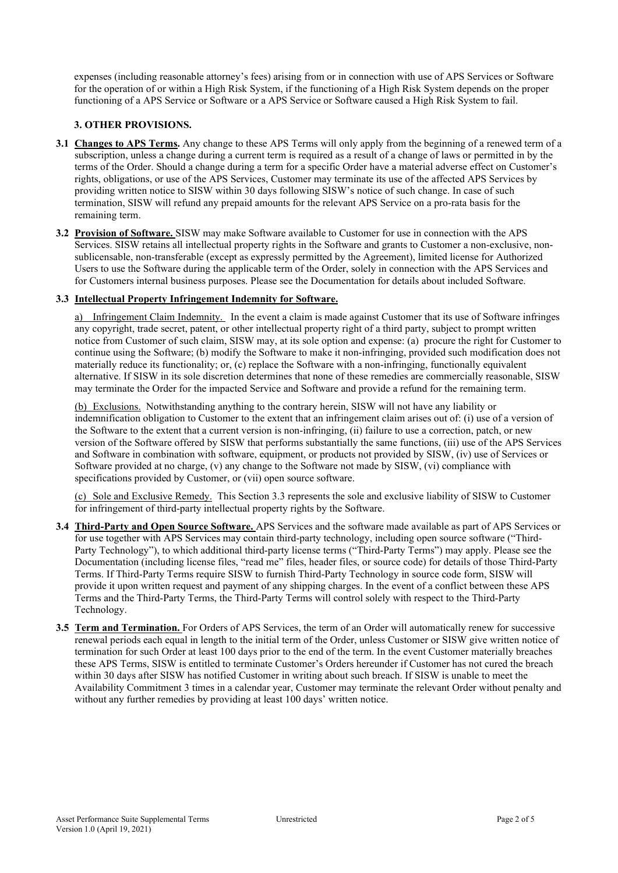expenses (including reasonable attorney's fees) arising from or in connection with use of APS Services or Software for the operation of or within a High Risk System, if the functioning of a High Risk System depends on the proper functioning of a APS Service or Software or a APS Service or Software caused a High Risk System to fail.

# **3. OTHER PROVISIONS.**

- **3.1 Changes to APS Terms.** Any change to these APS Terms will only apply from the beginning of a renewed term of a subscription, unless a change during a current term is required as a result of a change of laws or permitted in by the terms of the Order. Should a change during a term for a specific Order have a material adverse effect on Customer's rights, obligations, or use of the APS Services, Customer may terminate its use of the affected APS Services by providing written notice to SISW within 30 days following SISW's notice of such change. In case of such termination, SISW will refund any prepaid amounts for the relevant APS Service on a pro-rata basis for the remaining term.
- **3.2 Provision of Software.** SISW may make Software available to Customer for use in connection with the APS Services. SISW retains all intellectual property rights in the Software and grants to Customer a non-exclusive, nonsublicensable, non-transferable (except as expressly permitted by the Agreement), limited license for Authorized Users to use the Software during the applicable term of the Order, solely in connection with the APS Services and for Customers internal business purposes. Please see the Documentation for details about included Software.

#### **3.3 Intellectual Property Infringement Indemnity for Software.**

a) Infringement Claim Indemnity. In the event a claim is made against Customer that its use of Software infringes any copyright, trade secret, patent, or other intellectual property right of a third party, subject to prompt written notice from Customer of such claim, SISW may, at its sole option and expense: (a) procure the right for Customer to continue using the Software; (b) modify the Software to make it non-infringing, provided such modification does not materially reduce its functionality; or, (c) replace the Software with a non-infringing, functionally equivalent alternative. If SISW in its sole discretion determines that none of these remedies are commercially reasonable, SISW may terminate the Order for the impacted Service and Software and provide a refund for the remaining term.

(b) Exclusions. Notwithstanding anything to the contrary herein, SISW will not have any liability or indemnification obligation to Customer to the extent that an infringement claim arises out of: (i) use of a version of the Software to the extent that a current version is non-infringing, (ii) failure to use a correction, patch, or new version of the Software offered by SISW that performs substantially the same functions, (iii) use of the APS Services and Software in combination with software, equipment, or products not provided by SISW, (iv) use of Services or Software provided at no charge, (v) any change to the Software not made by SISW, (vi) compliance with specifications provided by Customer, or (vii) open source software.

(c) Sole and Exclusive Remedy. This Section 3.3 represents the sole and exclusive liability of SISW to Customer for infringement of third-party intellectual property rights by the Software.

- **3.4 Third-Party and Open Source Software.** APS Services and the software made available as part of APS Services or for use together with APS Services may contain third-party technology, including open source software ("Third-Party Technology"), to which additional third-party license terms ("Third-Party Terms") may apply. Please see the Documentation (including license files, "read me" files, header files, or source code) for details of those Third-Party Terms. If Third-Party Terms require SISW to furnish Third-Party Technology in source code form, SISW will provide it upon written request and payment of any shipping charges. In the event of a conflict between these APS Terms and the Third-Party Terms, the Third-Party Terms will control solely with respect to the Third-Party Technology.
- **3.5 Term and Termination.** For Orders of APS Services, the term of an Order will automatically renew for successive renewal periods each equal in length to the initial term of the Order, unless Customer or SISW give written notice of termination for such Order at least 100 days prior to the end of the term. In the event Customer materially breaches these APS Terms, SISW is entitled to terminate Customer's Orders hereunder if Customer has not cured the breach within 30 days after SISW has notified Customer in writing about such breach. If SISW is unable to meet the Availability Commitment 3 times in a calendar year, Customer may terminate the relevant Order without penalty and without any further remedies by providing at least 100 days' written notice.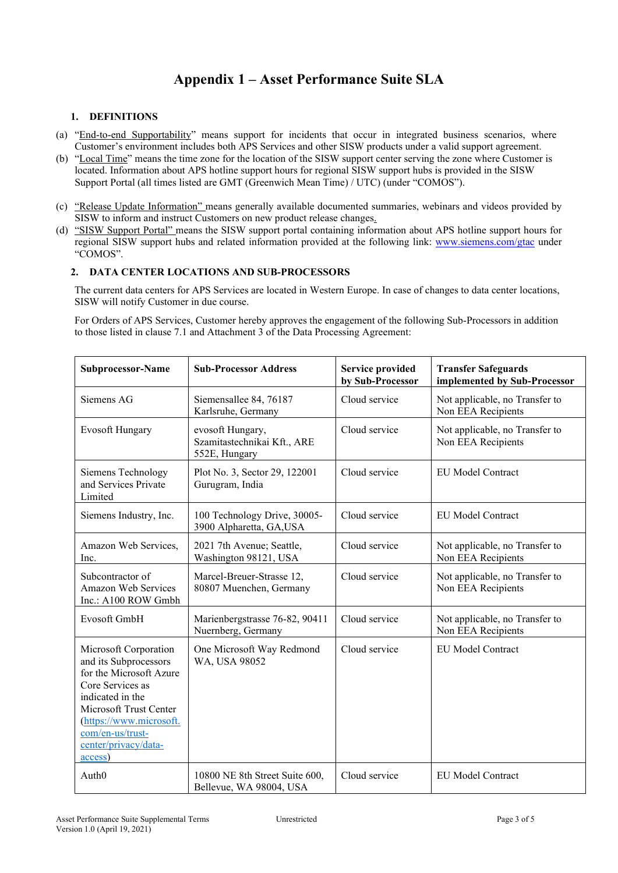# **Appendix 1 – Asset Performance Suite SLA**

## **1. DEFINITIONS**

- (a) "End-to-end Supportability" means support for incidents that occur in integrated business scenarios, where Customer's environment includes both APS Services and other SISW products under a valid support agreement.
- (b) "Local Time" means the time zone for the location of the SISW support center serving the zone where Customer is located. Information about APS hotline support hours for regional SISW support hubs is provided in the SISW Support Portal (all times listed are GMT (Greenwich Mean Time) / UTC) (under "COMOS").
- (c) "Release Update Information" means generally available documented summaries, webinars and videos provided by SISW to inform and instruct Customers on new product release changes.
- (d) "SISW Support Portal" means the SISW support portal containing information about APS hotline support hours for regional SISW support hubs and related information provided at the following link: [www.siemens.com/gtac](http://www.siemens.com/gtac) under "COMOS".

## **2. DATA CENTER LOCATIONS AND SUB-PROCESSORS**

The current data centers for APS Services are located in Western Europe. In case of changes to data center locations, SISW will notify Customer in due course.

For Orders of APS Services, Customer hereby approves the engagement of the following Sub-Processors in addition to those listed in clause 7.1 and Attachment 3 of the Data Processing Agreement:

| Subprocessor-Name                                                                                                                                                                                                             | <b>Sub-Processor Address</b>                                                                            | <b>Service provided</b><br>by Sub-Processor | <b>Transfer Safeguards</b><br>implemented by Sub-Processor |  |
|-------------------------------------------------------------------------------------------------------------------------------------------------------------------------------------------------------------------------------|---------------------------------------------------------------------------------------------------------|---------------------------------------------|------------------------------------------------------------|--|
| Siemens AG                                                                                                                                                                                                                    | Siemensallee 84, 76187<br>Karlsruhe, Germany                                                            | Cloud service                               | Not applicable, no Transfer to<br>Non EEA Recipients       |  |
| <b>Evosoft Hungary</b>                                                                                                                                                                                                        | Cloud service<br>evosoft Hungary,<br>Szamitastechnikai Kft., ARE<br>Non EEA Recipients<br>552E, Hungary |                                             | Not applicable, no Transfer to                             |  |
| Siemens Technology<br>and Services Private<br>Limited                                                                                                                                                                         | Plot No. 3, Sector 29, 122001<br>Gurugram, India                                                        | Cloud service                               | <b>EU Model Contract</b>                                   |  |
| Siemens Industry, Inc.                                                                                                                                                                                                        | 100 Technology Drive, 30005-<br>3900 Alpharetta, GA,USA                                                 | Cloud service                               | <b>EU Model Contract</b>                                   |  |
| Amazon Web Services,<br>Inc.                                                                                                                                                                                                  | 2021 7th Avenue; Seattle,<br>Washington 98121, USA                                                      | Cloud service                               | Not applicable, no Transfer to<br>Non EEA Recipients       |  |
| Subcontractor of<br>Amazon Web Services<br>Inc.: A100 ROW Gmbh                                                                                                                                                                | Marcel-Breuer-Strasse 12,<br>80807 Muenchen, Germany                                                    | Cloud service                               | Not applicable, no Transfer to<br>Non EEA Recipients       |  |
| Evosoft GmbH                                                                                                                                                                                                                  | Marienbergstrasse 76-82, 90411<br>Nuernberg, Germany                                                    | Cloud service                               | Not applicable, no Transfer to<br>Non EEA Recipients       |  |
| Microsoft Corporation<br>and its Subprocessors<br>for the Microsoft Azure<br>Core Services as<br>indicated in the<br>Microsoft Trust Center<br>(https://www.microsoft.<br>com/en-us/trust-<br>center/privacy/data-<br>access) | One Microsoft Way Redmond<br>WA, USA 98052                                                              | Cloud service                               | EU Model Contract                                          |  |
| Auth <sub>0</sub>                                                                                                                                                                                                             | 10800 NE 8th Street Suite 600,<br>Bellevue, WA 98004, USA                                               | Cloud service                               | <b>EU Model Contract</b>                                   |  |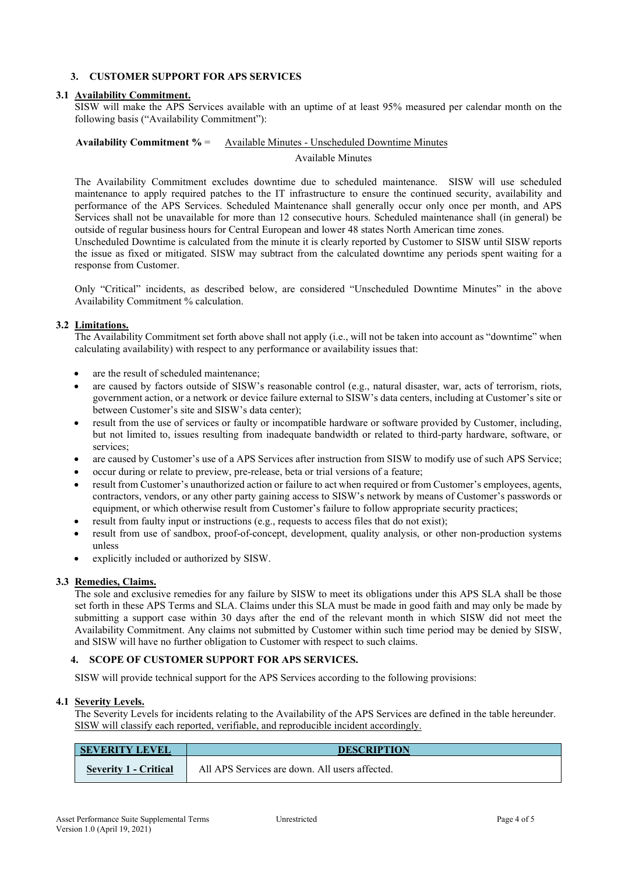# **3. CUSTOMER SUPPORT FOR APS SERVICES**

## **3.1 Availability Commitment.**

SISW will make the APS Services available with an uptime of at least 95% measured per calendar month on the following basis ("Availability Commitment"):

### **Availability Commitment %** = Available Minutes - Unscheduled Downtime Minutes

Available Minutes

The Availability Commitment excludes downtime due to scheduled maintenance. SISW will use scheduled maintenance to apply required patches to the IT infrastructure to ensure the continued security, availability and performance of the APS Services. Scheduled Maintenance shall generally occur only once per month, and APS Services shall not be unavailable for more than 12 consecutive hours. Scheduled maintenance shall (in general) be outside of regular business hours for Central European and lower 48 states North American time zones.

Unscheduled Downtime is calculated from the minute it is clearly reported by Customer to SISW until SISW reports the issue as fixed or mitigated. SISW may subtract from the calculated downtime any periods spent waiting for a response from Customer.

Only "Critical" incidents, as described below, are considered "Unscheduled Downtime Minutes" in the above Availability Commitment % calculation.

#### **3.2 Limitations.**

The Availability Commitment set forth above shall not apply (i.e., will not be taken into account as "downtime" when calculating availability) with respect to any performance or availability issues that:

- are the result of scheduled maintenance;
- are caused by factors outside of SISW's reasonable control (e.g., natural disaster, war, acts of terrorism, riots, government action, or a network or device failure external to SISW's data centers, including at Customer's site or between Customer's site and SISW's data center);
- result from the use of services or faulty or incompatible hardware or software provided by Customer, including, but not limited to, issues resulting from inadequate bandwidth or related to third-party hardware, software, or services<sup>.</sup>
- are caused by Customer's use of a APS Services after instruction from SISW to modify use of such APS Service;
- occur during or relate to preview, pre-release, beta or trial versions of a feature;
- result from Customer's unauthorized action or failure to act when required or from Customer's employees, agents, contractors, vendors, or any other party gaining access to SISW's network by means of Customer's passwords or equipment, or which otherwise result from Customer's failure to follow appropriate security practices;
- result from faulty input or instructions (e.g., requests to access files that do not exist);
- result from use of sandbox, proof-of-concept, development, quality analysis, or other non-production systems unless
- explicitly included or authorized by SISW.

#### **3.3 Remedies, Claims.**

The sole and exclusive remedies for any failure by SISW to meet its obligations under this APS SLA shall be those set forth in these APS Terms and SLA. Claims under this SLA must be made in good faith and may only be made by submitting a support case within 30 days after the end of the relevant month in which SISW did not meet the Availability Commitment. Any claims not submitted by Customer within such time period may be denied by SISW, and SISW will have no further obligation to Customer with respect to such claims.

## **4. SCOPE OF CUSTOMER SUPPORT FOR APS SERVICES.**

SISW will provide technical support for the APS Services according to the following provisions:

## **4.1 Severity Levels.**

The Severity Levels for incidents relating to the Availability of the APS Services are defined in the table hereunder. SISW will classify each reported, verifiable, and reproducible incident accordingly.

| <b>SEVERITY LEVEL</b>        | <b>DESCRIPTION</b>                             |  |
|------------------------------|------------------------------------------------|--|
| <b>Severity 1 - Critical</b> | All APS Services are down. All users affected. |  |